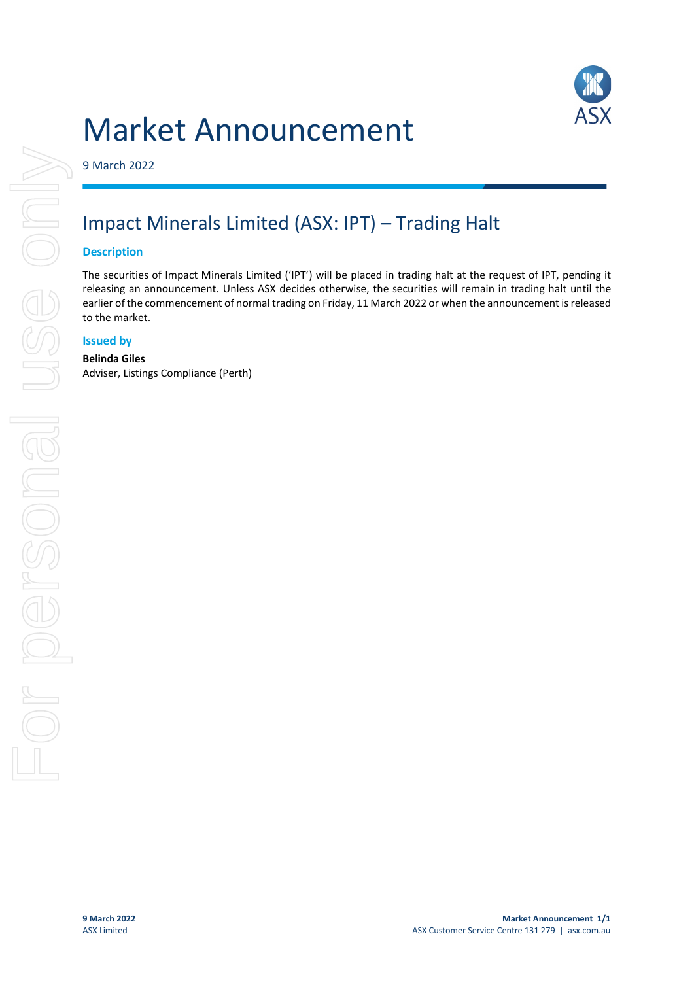## Market Announcement



9 March 2022

### Impact Minerals Limited (ASX: IPT) – Trading Halt

#### **Description**

The securities of Impact Minerals Limited ('IPT') will be placed in trading halt at the request of IPT, pending it releasing an announcement. Unless ASX decides otherwise, the securities will remain in trading halt until the earlier of the commencement of normal trading on Friday, 11 March 2022 or when the announcement is released to the market.

#### **Issued by**

#### **Belinda Giles** Adviser, Listings Compliance (Perth)